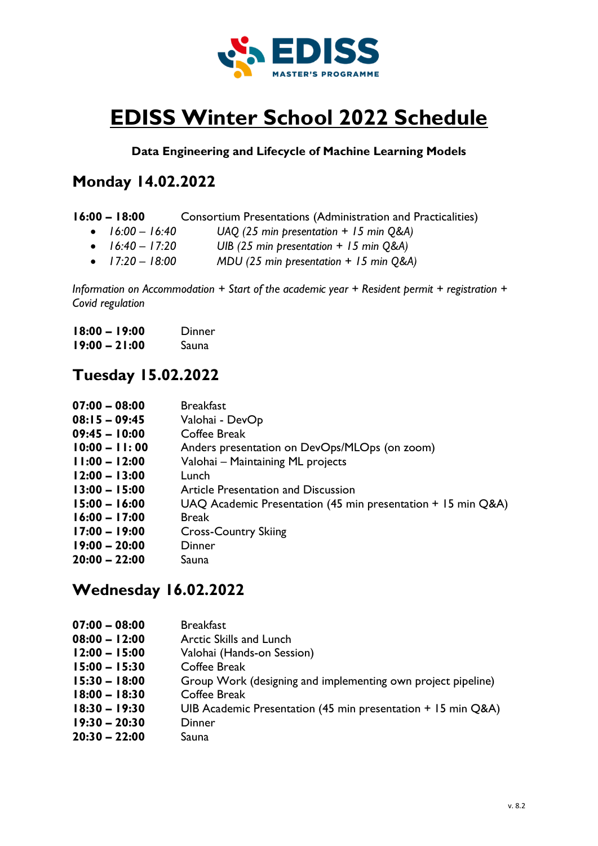

# **EDISS Winter School 2022 Schedule**

#### **Data Engineering and Lifecycle of Machine Learning Models**

## **Monday 14.02.2022**

| $16:00 - 18:00$   | Consortium Presentations (Administration and Practicalities) |
|-------------------|--------------------------------------------------------------|
| • $16:00 - 16:40$ | UAQ (25 min presentation $+$ 15 min Q&A)                     |
| • $16:40 - 17:20$ | UIB (25 min presentation $+$ 15 min Q&A)                     |
| • $17:20 - 18:00$ | MDU (25 min presentation $+$ 15 min Q&A)                     |

*Information on Accommodation + Start of the academic year + Resident permit + registration + Covid regulation* 

| $18:00 - 19:00$ | Dinner |
|-----------------|--------|
| $19:00 - 21:00$ | Sauna  |

### **Tuesday 15.02.2022**

| $07:00 - 08:00$ | <b>Breakfast</b>                                             |
|-----------------|--------------------------------------------------------------|
| $08:15 - 09:45$ | Valohai - DevOp                                              |
| $09:45 - 10:00$ | Coffee Break                                                 |
| $10:00 - 11:00$ | Anders presentation on DevOps/MLOps (on zoom)                |
| $11:00 - 12:00$ | Valohai – Maintaining ML projects                            |
| $12:00 - 13:00$ | Lunch                                                        |
| $13:00 - 15:00$ | Article Presentation and Discussion                          |
| $15:00 - 16:00$ | UAQ Academic Presentation (45 min presentation + 15 min Q&A) |
| $16:00 - 17:00$ | <b>Break</b>                                                 |
| $17:00 - 19:00$ | <b>Cross-Country Skiing</b>                                  |
| $19:00 - 20:00$ | Dinner                                                       |
| $20:00 - 22:00$ | Sauna                                                        |

### **Wednesday 16.02.2022**

| $07:00 - 08:00$ | <b>Breakfast</b>                                             |
|-----------------|--------------------------------------------------------------|
| $08:00 - 12:00$ | <b>Arctic Skills and Lunch</b>                               |
| $12:00 - 15:00$ | Valohai (Hands-on Session)                                   |
| $15:00 - 15:30$ | Coffee Break                                                 |
| $15:30 - 18:00$ | Group Work (designing and implementing own project pipeline) |
| $18:00 - 18:30$ | Coffee Break                                                 |
| $18:30 - 19:30$ | UIB Academic Presentation (45 min presentation + 15 min Q&A) |
| $19:30 - 20:30$ | Dinner                                                       |
| $20:30 - 22:00$ | Sauna                                                        |
|                 |                                                              |